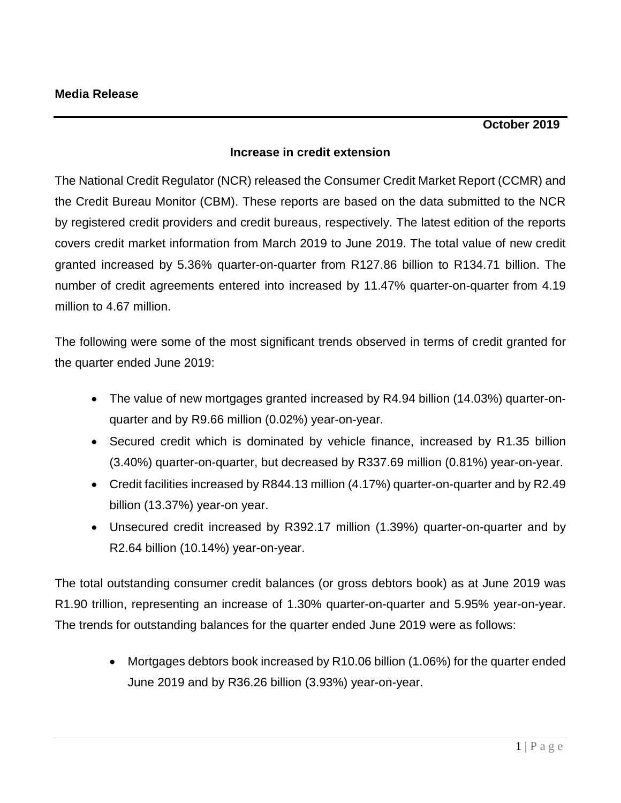## **Increase in credit extension**

The National Credit Regulator (NCR) released the Consumer Credit Market Report (CCMR) and the Credit Bureau Monitor (CBM). These reports are based on the data submitted to the NCR by registered credit providers and credit bureaus, respectively. The latest edition of the reports covers credit market information from March 2019 to June 2019. The total value of new credit granted increased by 5.36% quarter-on-quarter from R127.86 billion to R134.71 billion. The number of credit agreements entered into increased by 11.47% quarter-on-quarter from 4.19 million to 4.67 million.

The following were some of the most significant trends observed in terms of credit granted for the quarter ended June 2019:

- The value of new mortgages granted increased by R4.94 billion (14.03%) quarter-onquarter and by R9.66 million (0.02%) year-on-year.
- Secured credit which is dominated by vehicle finance, increased by R1.35 billion (3.40%) quarter-on-quarter, but decreased by R337.69 million (0.81%) year-on-year.
- Credit facilities increased by R844.13 million (4.17%) quarter-on-quarter and by R2.49 billion (13.37%) year-on year.
- Unsecured credit increased by R392.17 million (1.39%) quarter-on-quarter and by R2.64 billion (10.14%) year-on-year.

The total outstanding consumer credit balances (or gross debtors book) as at June 2019 was R1.90 trillion, representing an increase of 1.30% quarter-on-quarter and 5.95% year-on-year. The trends for outstanding balances for the quarter ended June 2019 were as follows:

> Mortgages debtors book increased by R10.06 billion (1.06%) for the quarter ended June 2019 and by R36.26 billion (3.93%) year-on-year.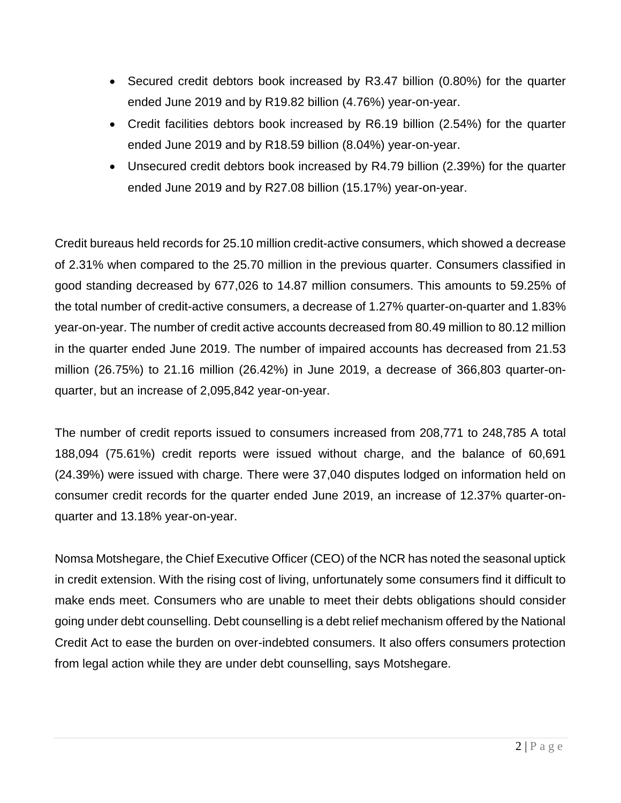- Secured credit debtors book increased by R3.47 billion (0.80%) for the quarter ended June 2019 and by R19.82 billion (4.76%) year-on-year.
- Credit facilities debtors book increased by R6.19 billion (2.54%) for the quarter ended June 2019 and by R18.59 billion (8.04%) year-on-year.
- Unsecured credit debtors book increased by R4.79 billion (2.39%) for the quarter ended June 2019 and by R27.08 billion (15.17%) year-on-year.

Credit bureaus held records for 25.10 million credit-active consumers, which showed a decrease of 2.31% when compared to the 25.70 million in the previous quarter. Consumers classified in good standing decreased by 677,026 to 14.87 million consumers. This amounts to 59.25% of the total number of credit-active consumers, a decrease of 1.27% quarter-on-quarter and 1.83% year-on-year. The number of credit active accounts decreased from 80.49 million to 80.12 million in the quarter ended June 2019. The number of impaired accounts has decreased from 21.53 million (26.75%) to 21.16 million (26.42%) in June 2019, a decrease of 366,803 quarter-onquarter, but an increase of 2,095,842 year-on-year.

The number of credit reports issued to consumers increased from 208,771 to 248,785 A total 188,094 (75.61%) credit reports were issued without charge, and the balance of 60,691 (24.39%) were issued with charge. There were 37,040 disputes lodged on information held on consumer credit records for the quarter ended June 2019, an increase of 12.37% quarter-onquarter and 13.18% year-on-year.

Nomsa Motshegare, the Chief Executive Officer (CEO) of the NCR has noted the seasonal uptick in credit extension. With the rising cost of living, unfortunately some consumers find it difficult to make ends meet. Consumers who are unable to meet their debts obligations should consider going under debt counselling. Debt counselling is a debt relief mechanism offered by the National Credit Act to ease the burden on over-indebted consumers. It also offers consumers protection from legal action while they are under debt counselling, says Motshegare.